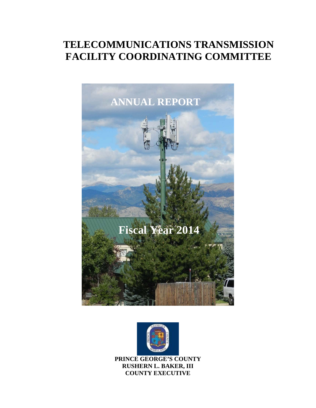# **TELECOMMUNICATIONS TRANSMISSION FACILITY COORDINATING COMMITTEE**





**PRINCE GEORGE'S COUNTY RUSHERN L. BAKER, III COUNTY EXECUTIVE**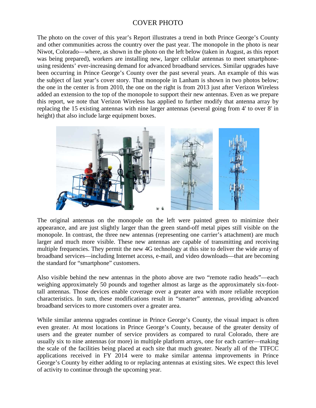### COVER PHOTO

The photo on the cover of this year's Report illustrates a trend in both Prince George's County and other communities across the country over the past year. The monopole in the photo is near Niwot, Colorado—where, as shown in the photo on the left below (taken in August, as this report was being prepared), workers are installing new, larger cellular antennas to meet smartphoneusing residents' ever-increasing demand for advanced broadband services. Similar upgrades have been occurring in Prince George's County over the past several years. An example of this was the subject of last year's cover story. That monopole in Lanham is shown in two photos below; the one in the center is from 2010, the one on the right is from 2013 just after Verizon Wireless added an extension to the top of the monopole to support their new antennas. Even as we prepare this report, we note that Verizon Wireless has applied to further modify that antenna array by replacing the 15 existing antennas with nine larger antennas (several going from 4' to over 8' in height) that also include large equipment boxes.



The original antennas on the monopole on the left were painted green to minimize their appearance, and are just slightly larger than the green stand-off metal pipes still visible on the monopole. In contrast, the three new antennas (representing one carrier's attachment) are much larger and much more visible. These new antennas are capable of transmitting and receiving multiple frequencies. They permit the new 4G technology at this site to deliver the wide array of broadband services—including Internet access, e-mail, and video downloads—that are becoming the standard for "smartphone" customers.

Also visible behind the new antennas in the photo above are two "remote radio heads"—each weighing approximately 50 pounds and together almost as large as the approximately six-foottall antennas. Those devices enable coverage over a greater area with more reliable reception characteristics. In sum, these modifications result in "smarter" antennas, providing advanced broadband services to more customers over a greater area.

While similar antenna upgrades continue in Prince George's County, the visual impact is often even greater. At most locations in Prince George's County, because of the greater density of users and the greater number of service providers as compared to rural Colorado, there are usually six to nine antennas (or more) in multiple platform arrays, one for each carrier—making the scale of the facilities being placed at each site that much greater. Nearly all of the TTFCC applications received in FY 2014 were to make similar antenna improvements in Prince George's County by either adding to or replacing antennas at existing sites. We expect this level of activity to continue through the upcoming year.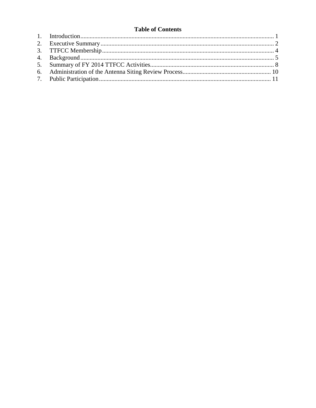#### **Table of Contents**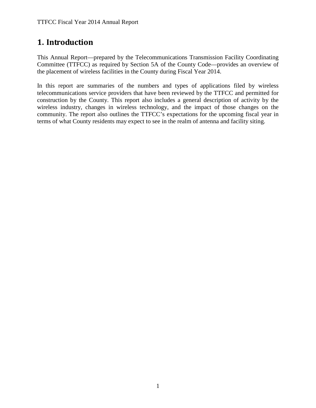## <span id="page-3-0"></span>**1. Introduction**

This Annual Report—prepared by the Telecommunications Transmission Facility Coordinating Committee (TTFCC) as required by Section 5A of the County Code—provides an overview of the placement of wireless facilities in the County during Fiscal Year 2014.

In this report are summaries of the numbers and types of applications filed by wireless telecommunications service providers that have been reviewed by the TTFCC and permitted for construction by the County. This report also includes a general description of activity by the wireless industry, changes in wireless technology, and the impact of those changes on the community. The report also outlines the TTFCC's expectations for the upcoming fiscal year in terms of what County residents may expect to see in the realm of antenna and facility siting.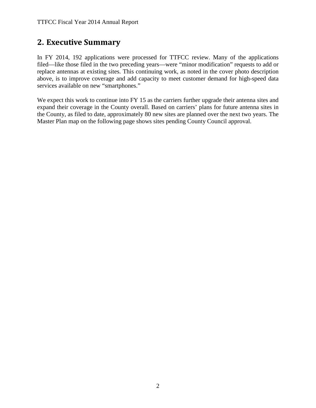### <span id="page-4-0"></span>**2. Executive Summary**

In FY 2014, 192 applications were processed for TTFCC review. Many of the applications filed—like those filed in the two preceding years—were "minor modification" requests to add or replace antennas at existing sites. This continuing work, as noted in the cover photo description above, is to improve coverage and add capacity to meet customer demand for high-speed data services available on new "smartphones."

We expect this work to continue into FY 15 as the carriers further upgrade their antenna sites and expand their coverage in the County overall. Based on carriers' plans for future antenna sites in the County, as filed to date, approximately 80 new sites are planned over the next two years. The Master Plan map on the following page shows sites pending County Council approval.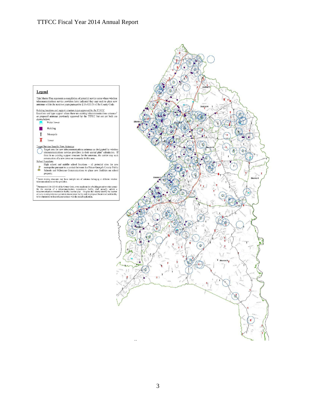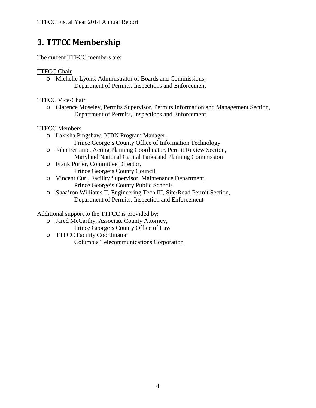# <span id="page-6-0"></span>**3. TTFCC Membership**

The current TTFCC members are:

#### TTFCC Chair

o Michelle Lyons, Administrator of Boards and Commissions, Department of Permits, Inspections and Enforcement

TTFCC Vice-Chair

o Clarence Moseley, Permits Supervisor, Permits Information and Management Section, Department of Permits, Inspections and Enforcement

#### TTFCC Members

- o Lakisha Pingshaw, ICBN Program Manager, Prince George's County Office of Information Technology
- o John Ferrante, Acting Planning Coordinator, Permit Review Section, Maryland National Capital Parks and Planning Commission
- o Frank Porter, Committee Director, Prince George's County Council
- o Vincent Curl, Facility Supervisor, Maintenance Department, Prince George's County Public Schools
- o Shaa'ron Williams II, Engineering Tech III, Site/Road Permit Section, Department of Permits, Inspection and Enforcement

Additional support to the TTFCC is provided by:

- o Jared McCarthy, Associate County Attorney,
	- Prince George's County Office of Law
- o TTFCC Facility Coordinator Columbia Telecommunications Corporation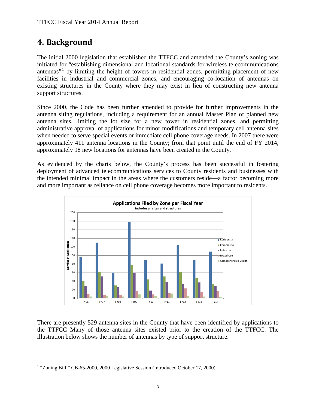# <span id="page-7-0"></span>**4. Background**

The initial 2000 legislation that established the TTFCC and amended the County's zoning was initiated for "establishing dimensional and locational standards for wireless telecommunications antennas<sup> $1$ </sup> by limiting the height of towers in residential zones, permitting placement of new facilities in industrial and commercial zones, and encouraging co-location of antennas on existing structures in the County where they may exist in lieu of constructing new antenna support structures.

Since 2000, the Code has been further amended to provide for further improvements in the antenna siting regulations, including a requirement for an annual Master Plan of planned new antenna sites, limiting the lot size for a new tower in residential zones, and permitting administrative approval of applications for minor modifications and temporary cell antenna sites when needed to serve special events or immediate cell phone coverage needs. In 2007 there were approximately 411 antenna locations in the County; from that point until the end of FY 2014, approximately 98 new locations for antennas have been created in the County.

As evidenced by the charts below, the County's process has been successful in fostering deployment of advanced telecommunications services to County residents and businesses with the intended minimal impact in the areas where the customers reside—a factor becoming more and more important as reliance on cell phone coverage becomes more important to residents.



There are presently 529 antenna sites in the County that have been identified by applications to the TTFCC Many of those antenna sites existed prior to the creation of the TTFCC. The illustration below shows the number of antennas by type of support structure.

<span id="page-7-1"></span><sup>&</sup>lt;sup>1</sup> "Zoning Bill," CB-65-2000, 2000 Legislative Session (Introduced October 17, 2000).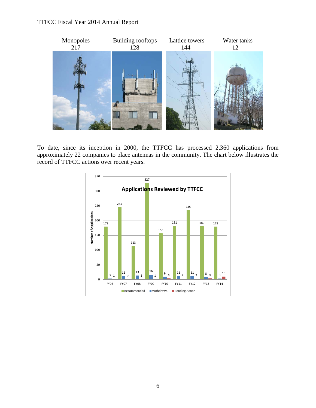#### TTFCC Fiscal Year 2014 Annual Report



To date, since its inception in 2000, the TTFCC has processed 2,360 applications from approximately 22 companies to place antennas in the community. The chart below illustrates the record of TTFCC actions over recent years.

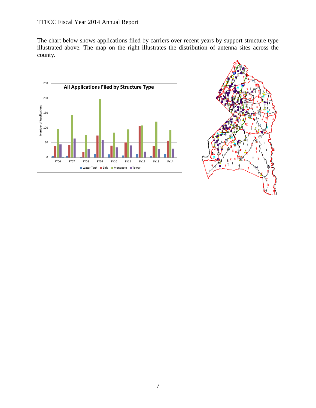The chart below shows applications filed by carriers over recent years by support structure type illustrated above. The map on the right illustrates the distribution of antenna sites across the county.



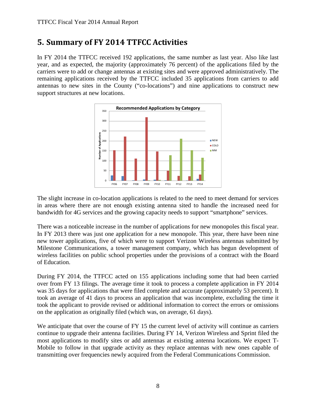### <span id="page-10-0"></span>**5. Summary of FY 2014 TTFCC Activities**

In FY 2014 the TTFCC received 192 applications, the same number as last year. Also like last year, and as expected, the majority (approximately 76 percent) of the applications filed by the carriers were to add or change antennas at existing sites and were approved administratively. The remaining applications received by the TTFCC included 35 applications from carriers to add antennas to new sites in the County ("co-locations") and nine applications to construct new support structures at new locations.



The slight increase in co-location applications is related to the need to meet demand for services in areas where there are not enough existing antenna sited to handle the increased need for bandwidth for 4G services and the growing capacity needs to support "smartphone" services.

There was a noticeable increase in the number of applications for new monopoles this fiscal year. In FY 2013 there was just one application for a new monopole. This year, there have been nine new tower applications, five of which were to support Verizon Wireless antennas submitted by Milestone Communications, a tower management company, which has begun development of wireless facilities on public school properties under the provisions of a contract with the Board of Education.

During FY 2014, the TTFCC acted on 155 applications including some that had been carried over from FY 13 filings. The average time it took to process a complete application in FY 2014 was 35 days for applications that were filed complete and accurate (approximately 53 percent). It took an average of 41 days to process an application that was incomplete, excluding the time it took the applicant to provide revised or additional information to correct the errors or omissions on the application as originally filed (which was, on average, 61 days).

We anticipate that over the course of FY 15 the current level of activity will continue as carriers continue to upgrade their antenna facilities. During FY 14, Verizon Wireless and Sprint filed the most applications to modify sites or add antennas at existing antenna locations. We expect T-Mobile to follow in that upgrade activity as they replace antennas with new ones capable of transmitting over frequencies newly acquired from the Federal Communications Commission.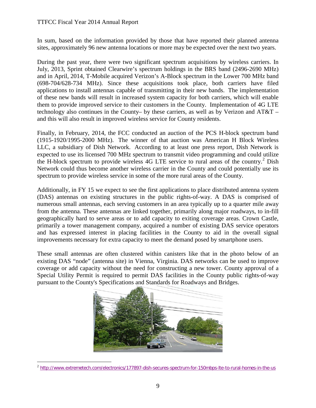#### TTFCC Fiscal Year 2014 Annual Report

In sum, based on the information provided by those that have reported their planned antenna sites, approximately 96 new antenna locations or more may be expected over the next two years.

During the past year, there were two significant spectrum acquisitions by wireless carriers. In July, 2013, Sprint obtained Clearwire's spectrum holdings in the BRS band (2496-2690 MHz) and in April, 2014, T-Mobile acquired Verizon's A-Block spectrum in the Lower 700 MHz band (698-704/628-734 MHz). Since these acquisitions took place, both carriers have filed applications to install antennas capable of transmitting in their new bands. The implementation of these new bands will result in increased system capacity for both carriers, which will enable them to provide improved service to their customers in the County. Implementation of 4G LTE technology also continues in the County– by these carriers, as well as by Verizon and AT&T – and this will also result in improved wireless service for County residents.

Finally, in February, 2014, the FCC conducted an auction of the PCS H-block spectrum band (1915-1920/1995-2000 MHz). The winner of that auction was American H Block Wireless LLC, a subsidiary of Dish Network. According to at least one press report, Dish Network is expected to use its licensed 700 MHz spectrum to transmit video programming and could utilize the H-block spectrum to provide wireless 4G LTE service to rural areas of the country.<sup>[2](#page-11-0)</sup> Dish Network could thus become another wireless carrier in the County and could potentially use its spectrum to provide wireless service in some of the more rural areas of the County.

Additionally, in FY 15 we expect to see the first applications to place distributed antenna system (DAS) antennas on existing structures in the public rights-of-way. A DAS is comprised of numerous small antennas, each serving customers in an area typically up to a quarter mile away from the antenna. These antennas are linked together, primarily along major roadways, to in-fill geographically hard to serve areas or to add capacity to exiting coverage areas. Crown Castle, primarily a tower management company, acquired a number of existing DAS service operators and has expressed interest in placing facilities in the County to aid in the overall signal improvements necessary for extra capacity to meet the demand posed by smartphone users.

These small antennas are often clustered within canisters like that in the photo below of an existing DAS "node" (antenna site) in Vienna, Virginia. DAS networks can be used to improve coverage or add capacity without the need for constructing a new tower. County approval of a Special Utility Permit is required to permit DAS facilities in the County public rights-of-way pursuant to the County's Specifications and Standards for Roadways and Bridges.

<span id="page-11-0"></span>

 <sup>2</sup> <http://www.extremetech.com/electronics/177897-dish-secures-spectrum-for-150mbps-lte-to-rural-homes-in-the-us>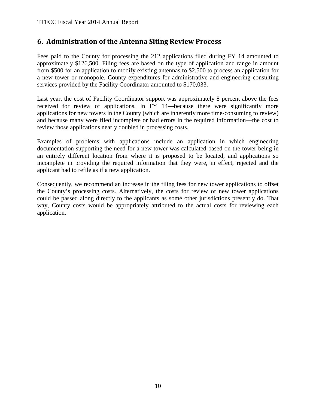### <span id="page-12-0"></span>**6. Administration of the Antenna Siting Review Process**

Fees paid to the County for processing the 212 applications filed during FY 14 amounted to approximately \$126,500. Filing fees are based on the type of application and range in amount from \$500 for an application to modify existing antennas to \$2,500 to process an application for a new tower or monopole. County expenditures for administrative and engineering consulting services provided by the Facility Coordinator amounted to \$170,033.

Last year, the cost of Facility Coordinator support was approximately 8 percent above the fees received for review of applications. In FY 14—because there were significantly more applications for new towers in the County (which are inherently more time-consuming to review) and because many were filed incomplete or had errors in the required information—the cost to review those applications nearly doubled in processing costs.

Examples of problems with applications include an application in which engineering documentation supporting the need for a new tower was calculated based on the tower being in an entirely different location from where it is proposed to be located, and applications so incomplete in providing the required information that they were, in effect, rejected and the applicant had to refile as if a new application.

Consequently, we recommend an increase in the filing fees for new tower applications to offset the County's processing costs. Alternatively, the costs for review of new tower applications could be passed along directly to the applicants as some other jurisdictions presently do. That way, County costs would be appropriately attributed to the actual costs for reviewing each application.